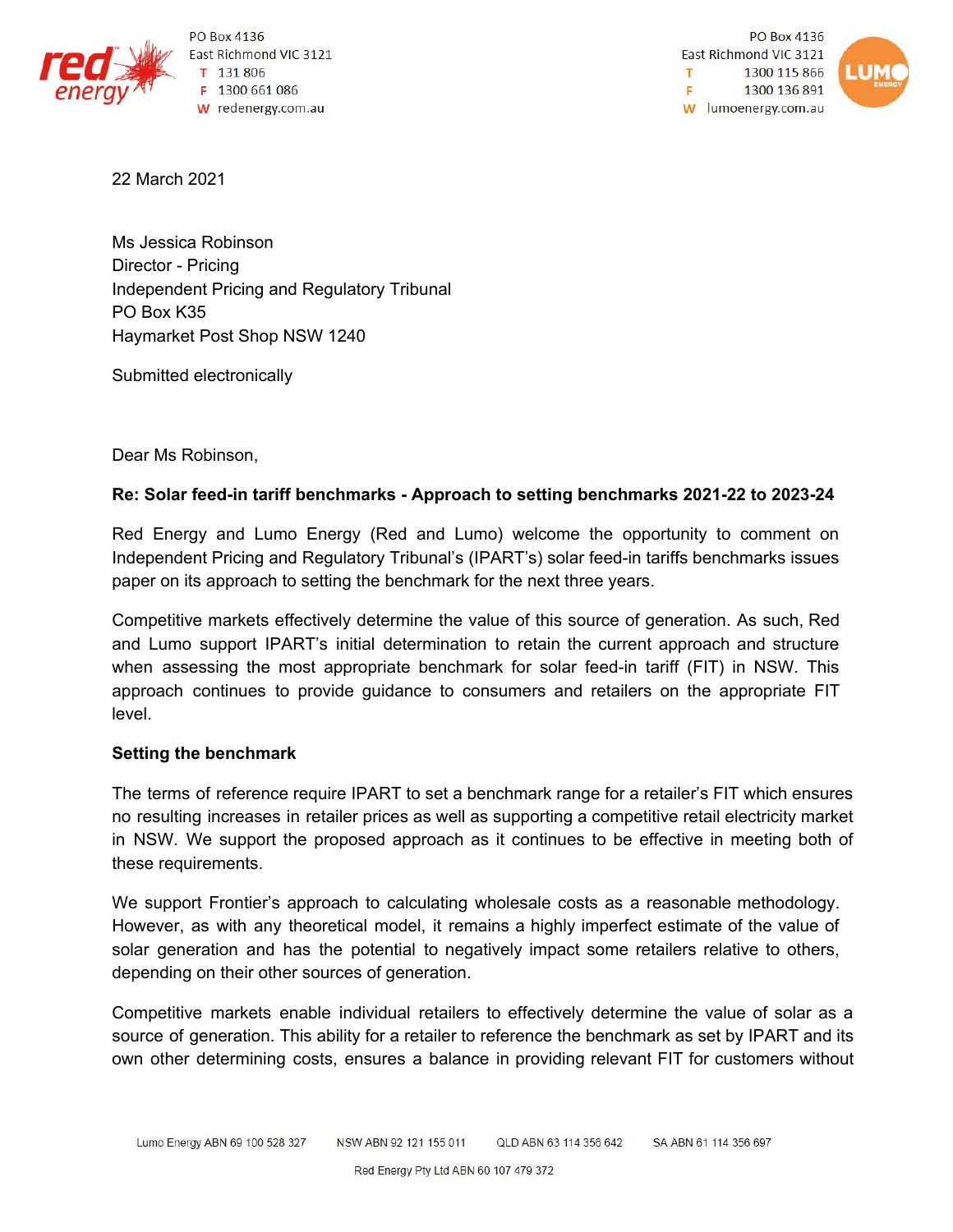

PO Box 4136 East Richmond VIC 3121 T 131 806 F 1300 661 086 W redenergy.com.au

PO Box 4136 East Richmond VIC 3121 1300 115 866 T. F 1300 136 891 W lumoenergy.com.au



22 March 2021

Ms Jessica Robinson Director - Pricing Independent Pricing and Regulatory Tribunal PO Box K35 Haymarket Post Shop NSW 1240

Submitted electronically

Dear Ms Robinson,

## **Re: Solar feed-in tariff benchmarks - Approach to setting benchmarks 2021-22 to 2023-24**

Red Energy and Lumo Energy (Red and Lumo) welcome the opportunity to comment on Independent Pricing and Regulatory Tribunal's (IPART's) solar feed-in tariffs benchmarks issues paper on its approach to setting the benchmark for the next three years.

Competitive markets effectively determine the value of this source of generation. As such, Red and Lumo support IPART's initial determination to retain the current approach and structure when assessing the most appropriate benchmark for solar feed-in tariff (FIT) in NSW. This approach continues to provide guidance to consumers and retailers on the appropriate FIT level.

## **Setting the benchmark**

The terms of reference require IPART to set a benchmark range for a retailer's FIT which ensures no resulting increases in retailer prices as well as supporting a competitive retail electricity market in NSW. We support the proposed approach as it continues to be effective in meeting both of these requirements.

We support Frontier's approach to calculating wholesale costs as a reasonable methodology. However, as with any theoretical model, it remains a highly imperfect estimate of the value of solar generation and has the potential to negatively impact some retailers relative to others, depending on their other sources of generation.

Competitive markets enable individual retailers to effectively determine the value of solar as a source of generation. This ability for a retailer to reference the benchmark as set by IPART and its own other determining costs, ensures a balance in providing relevant FIT for customers without